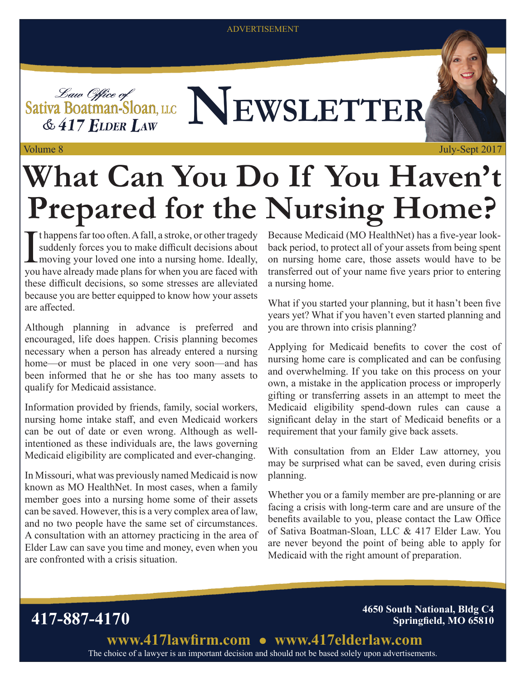ADVERTISEMENT

Sativa Boatman-Sloan, LLC NEWSLETTER  $&$  417 ELDER LAW

# **What Can You Do If You Haven't Prepared for the Nursing Home?**

I t happens far too often. A fall, a stroke, or other tragedy suddenly forces you to make difficult decisions about moving your loved one into a nursing home. Ideally, you have already made plans for when you are faced with these difficult decisions, so some stresses are alleviated because you are better equipped to know how your assets are affected.

Although planning in advance is preferred and encouraged, life does happen. Crisis planning becomes necessary when a person has already entered a nursing home—or must be placed in one very soon—and has been informed that he or she has too many assets to qualify for Medicaid assistance.

Information provided by friends, family, social workers, nursing home intake staff, and even Medicaid workers can be out of date or even wrong. Although as wellintentioned as these individuals are, the laws governing Medicaid eligibility are complicated and ever-changing.

In Missouri, what was previously named Medicaid is now known as MO HealthNet. In most cases, when a family member goes into a nursing home some of their assets can be saved. However, this is a very complex area of law, and no two people have the same set of circumstances. A consultation with an attorney practicing in the area of Elder Law can save you time and money, even when you are confronted with a crisis situation.

Because Medicaid (MO HealthNet) has a five-year lookback period, to protect all of your assets from being spent on nursing home care, those assets would have to be transferred out of your name five years prior to entering a nursing home.

What if you started your planning, but it hasn't been five years yet? What if you haven't even started planning and you are thrown into crisis planning?

Applying for Medicaid benefits to cover the cost of nursing home care is complicated and can be confusing and overwhelming. If you take on this process on your own, a mistake in the application process or improperly gifting or transferring assets in an attempt to meet the Medicaid eligibility spend-down rules can cause a significant delay in the start of Medicaid benefits or a requirement that your family give back assets.

With consultation from an Elder Law attorney, you may be surprised what can be saved, even during crisis planning.

Whether you or a family member are pre-planning or are facing a crisis with long-term care and are unsure of the benefits available to you, please contact the Law Office of Sativa Boatman-Sloan, LLC & 417 Elder Law. You are never beyond the point of being able to apply for Medicaid with the right amount of preparation.

**417-887-4170 4650 South National, Bldg C4 Springfield, MO 65810**

> The choice of a lawyer is an important decision and should not be based solely upon advertisements. **www.417lawfirm.com www.417elderlaw.com**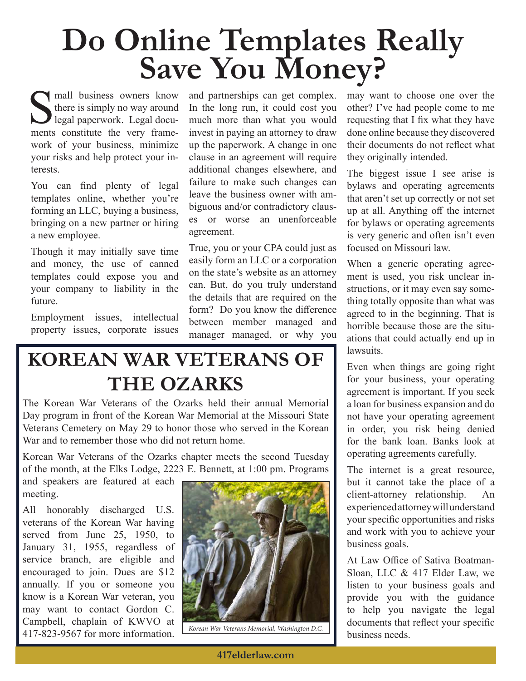# **Do Online Templates Really Save You Money?**

I mall business owners know there is simply no way around legal paperwork. Legal documents constitute the very framework of your business, minimize your risks and help protect your interests.

You can find plenty of legal templates online, whether you're forming an LLC, buying a business, bringing on a new partner or hiring a new employee.

Though it may initially save time and money, the use of canned templates could expose you and your company to liability in the future.

Employment issues, intellectual property issues, corporate issues

and partnerships can get complex. In the long run, it could cost you much more than what you would invest in paying an attorney to draw up the paperwork. A change in one clause in an agreement will require additional changes elsewhere, and failure to make such changes can leave the business owner with ambiguous and/or contradictory clauses—or worse—an unenforceable agreement.

True, you or your CPA could just as easily form an LLC or a corporation on the state's website as an attorney can. But, do you truly understand the details that are required on the form? Do you know the difference between member managed and manager managed, or why you

#### **KOREAN WAR VETERANS OF THE OZARKS**

The Korean War Veterans of the Ozarks held their annual Memorial Day program in front of the Korean War Memorial at the Missouri State Veterans Cemetery on May 29 to honor those who served in the Korean War and to remember those who did not return home.

Korean War Veterans of the Ozarks chapter meets the second Tuesday of the month, at the Elks Lodge, 2223 E. Bennett, at 1:00 pm. Programs

and speakers are featured at each meeting.

All honorably discharged U.S. veterans of the Korean War having served from June 25, 1950, to January 31, 1955, regardless of service branch, are eligible and encouraged to join. Dues are \$12 annually. If you or someone you know is a Korean War veteran, you may want to contact Gordon C. Campbell, chaplain of KWVO at 417-823-9567 for more information.



*Korean War Veterans Memorial, Washington D.C.*

may want to choose one over the other? I've had people come to me requesting that I fix what they have done online because they discovered their documents do not reflect what they originally intended.

The biggest issue I see arise is bylaws and operating agreements that aren't set up correctly or not set up at all. Anything off the internet for bylaws or operating agreements is very generic and often isn't even focused on Missouri law.

When a generic operating agreement is used, you risk unclear instructions, or it may even say something totally opposite than what was agreed to in the beginning. That is horrible because those are the situations that could actually end up in lawsuits.

Even when things are going right for your business, your operating agreement is important. If you seek a loan for business expansion and do not have your operating agreement in order, you risk being denied for the bank loan. Banks look at operating agreements carefully.

The internet is a great resource, but it cannot take the place of a client-attorney relationship. An experienced attorney will understand your specific opportunities and risks and work with you to achieve your business goals.

At Law Office of Sativa Boatman-Sloan, LLC & 417 Elder Law, we listen to your business goals and provide you with the guidance to help you navigate the legal documents that reflect your specific business needs.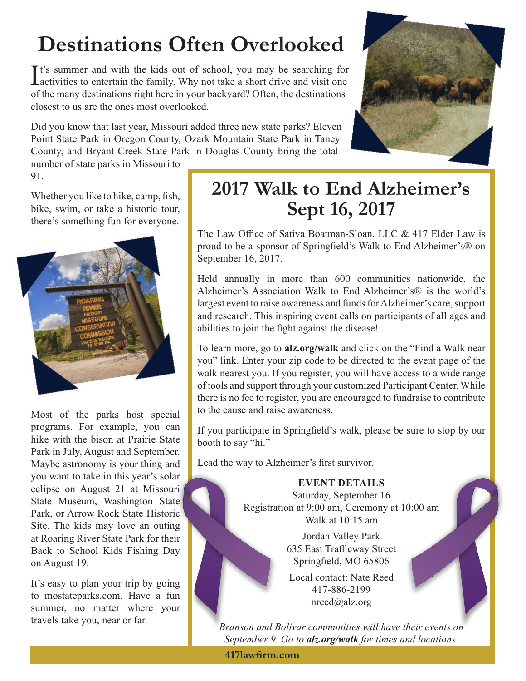### **Destinations Often Overlooked**

It's summer and with the kids out of school, you may be searching for activities to entertain the family. Why not take a short drive and visit one **L** activities to entertain the family. Why not take a short drive and visit one of the many destinations right here in your backyard? Often, the destinations closest to us are the ones most overlooked.

Did you know that last year, Missouri added three new state parks? Eleven Point State Park in Oregon County, Ozark Mountain State Park in Taney County, and Bryant Creek State Park in Douglas County bring the total



number of state parks in Missouri to 91.

Whether you like to hike, camp, fish, bike, swim, or take a historic tour, there's something fun for everyone.



Most of the parks host special programs. For example, you can hike with the bison at Prairie State Park in July, August and September. Maybe astronomy is your thing and you want to take in this year's solar eclipse on August 21 at Missouri State Museum, Washington State Park, or Arrow Rock State Historic Site. The kids may love an outing at Roaring River State Park for their Back to School Kids Fishing Day on August 19.

It's easy to plan your trip by going to mostateparks.com. Have a fun summer, no matter where your travels take you, near or far.

#### **2017 Walk to End Alzheimer's Sept 16, 2017**

The Law Office of Sativa Boatman-Sloan, LLC & 417 Elder Law is proud to be a sponsor of Springfield's Walk to End Alzheimer's® on September 16, 2017.

Held annually in more than 600 communities nationwide, the Alzheimer's Association Walk to End Alzheimer's® is the world's largest event to raise awareness and funds for Alzheimer's care, support and research. This inspiring event calls on participants of all ages and abilities to join the fight against the disease!

To learn more, go to **alz.org/walk** and click on the "Find a Walk near you" link. Enter your zip code to be directed to the event page of the walk nearest you. If you register, you will have access to a wide range of tools and support through your customized Participant Center. While there is no fee to register, you are encouraged to fundraise to contribute to the cause and raise awareness.

If you participate in Springfield's walk, please be sure to stop by our booth to say "hi."

Lead the way to Alzheimer's first survivor.

#### **EVENT DETAILS**

Saturday, September 16 Registration at 9:00 am, Ceremony at 10:00 am Walk at 10:15 am

> Jordan Valley Park 635 East Trafficway Street Springfield, MO 65806

Local contact: Nate Reed 417-886-2199 nreed@alz.org

*Branson and Bolivar communities will have their events on September 9. Go to alz.org/walk for times and locations.*

**417lawfirm.com**